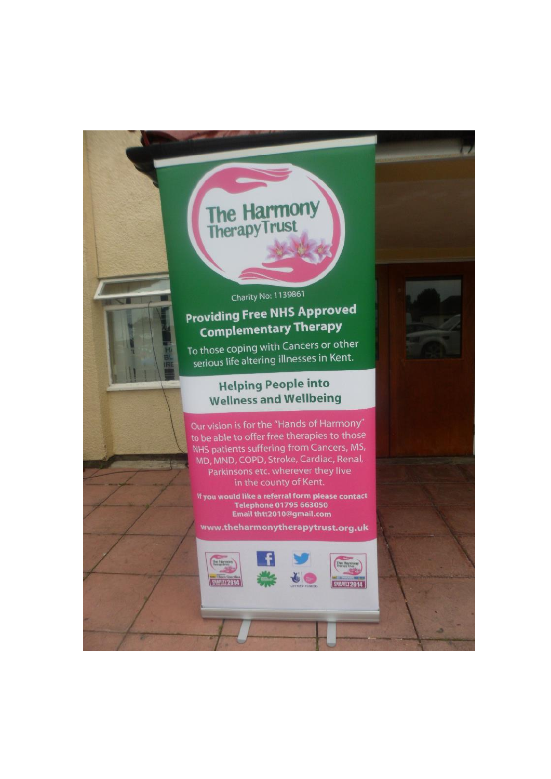The Harmony<br>TherapyTrust

# Charity No: 1139861 **Providing Free NHS Approved Complementary Therapy**

To those coping with Cancers or other serious life altering illnesses in Kent.

## **Helping People into Wellness and Wellbeing**

Our vision is for the "Hands of Harmony" to be able to offer free therapies to those NHS patients suffering from Cancers, MS, MD, MND, COPD, Stroke, Cardiac, Renal, Parkinsons etc. wherever they live in the county of Kent.

If you would like a referral form please contact Telephone 01795 663050<br>Email thtt2010@gmail.com

www.theharmonytherapytrust.org.uk

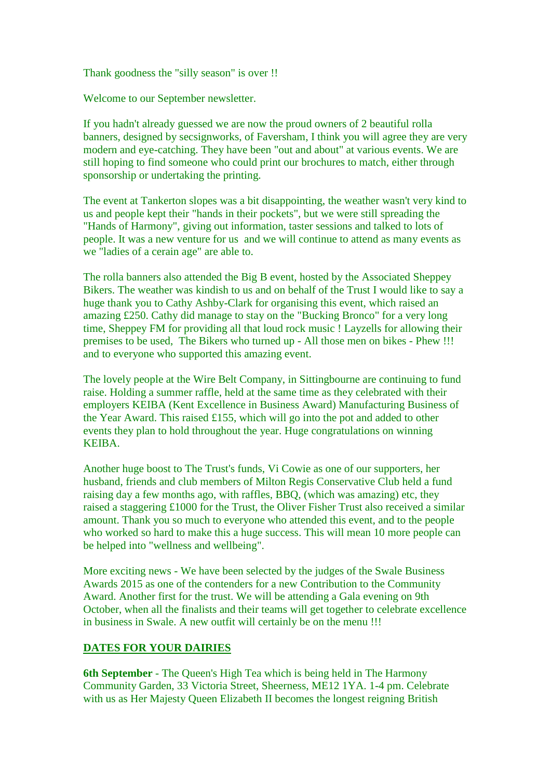Thank goodness the "silly season" is over !!

Welcome to our September newsletter.

If you hadn't already guessed we are now the proud owners of 2 beautiful rolla banners, designed by secsignworks, of Faversham, I think you will agree they are very modern and eye-catching. They have been "out and about" at various events. We are still hoping to find someone who could print our brochures to match, either through sponsorship or undertaking the printing.

The event at Tankerton slopes was a bit disappointing, the weather wasn't very kind to us and people kept their "hands in their pockets", but we were still spreading the "Hands of Harmony", giving out information, taster sessions and talked to lots of people. It was a new venture for us and we will continue to attend as many events as we "ladies of a cerain age" are able to.

The rolla banners also attended the Big B event, hosted by the Associated Sheppey Bikers. The weather was kindish to us and on behalf of the Trust I would like to say a huge thank you to Cathy Ashby-Clark for organising this event, which raised an amazing £250. Cathy did manage to stay on the "Bucking Bronco" for a very long time, Sheppey FM for providing all that loud rock music ! Layzells for allowing their premises to be used, The Bikers who turned up - All those men on bikes - Phew !!! and to everyone who supported this amazing event.

The lovely people at the Wire Belt Company, in Sittingbourne are continuing to fund raise. Holding a summer raffle, held at the same time as they celebrated with their employers KEIBA (Kent Excellence in Business Award) Manufacturing Business of the Year Award. This raised £155, which will go into the pot and added to other events they plan to hold throughout the year. Huge congratulations on winning KEIBA.

Another huge boost to The Trust's funds, Vi Cowie as one of our supporters, her husband, friends and club members of Milton Regis Conservative Club held a fund raising day a few months ago, with raffles, BBQ, (which was amazing) etc, they raised a staggering £1000 for the Trust, the Oliver Fisher Trust also received a similar amount. Thank you so much to everyone who attended this event, and to the people who worked so hard to make this a huge success. This will mean 10 more people can be helped into "wellness and wellbeing".

More exciting news - We have been selected by the judges of the Swale Business Awards 2015 as one of the contenders for a new Contribution to the Community Award. Another first for the trust. We will be attending a Gala evening on 9th October, when all the finalists and their teams will get together to celebrate excellence in business in Swale. A new outfit will certainly be on the menu !!!

#### **DATES FOR YOUR DAIRIES**

**6th September** - The Queen's High Tea which is being held in The Harmony Community Garden, 33 Victoria Street, Sheerness, ME12 1YA. 1-4 pm. Celebrate with us as Her Majesty Queen Elizabeth II becomes the longest reigning British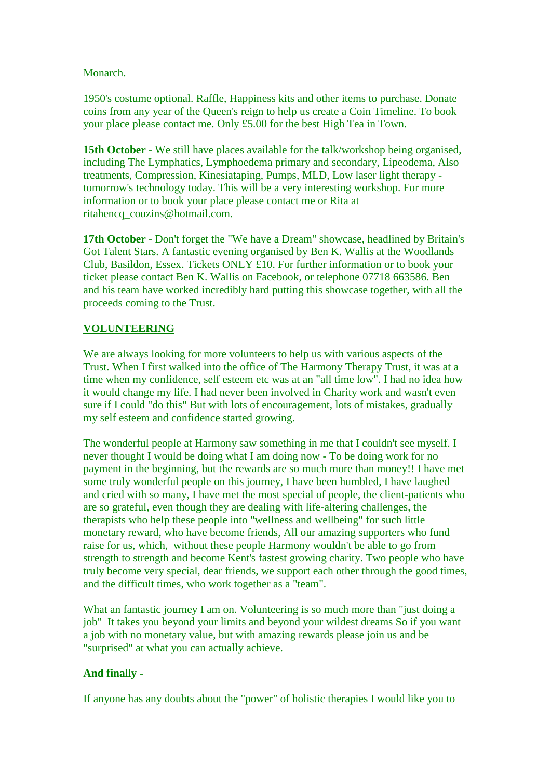Monarch.

1950's costume optional. Raffle, Happiness kits and other items to purchase. Donate coins from any year of the Queen's reign to help us create a Coin Timeline. To book your place please contact me. Only £5.00 for the best High Tea in Town.

**15th October** - We still have places available for the talk/workshop being organised, including The Lymphatics, Lymphoedema primary and secondary, Lipeodema, Also treatments, Compression, Kinesiataping, Pumps, MLD, Low laser light therapy tomorrow's technology today. This will be a very interesting workshop. For more information or to book your place please contact me or Rita at ritahencq\_couzins@hotmail.com.

**17th October** - Don't forget the "We have a Dream" showcase, headlined by Britain's Got Talent Stars. A fantastic evening organised by Ben K. Wallis at the Woodlands Club, Basildon, Essex. Tickets ONLY £10. For further information or to book your ticket please contact Ben K. Wallis on Facebook, or telephone 07718 663586. Ben and his team have worked incredibly hard putting this showcase together, with all the proceeds coming to the Trust.

### **VOLUNTEERING**

We are always looking for more volunteers to help us with various aspects of the Trust. When I first walked into the office of The Harmony Therapy Trust, it was at a time when my confidence, self esteem etc was at an "all time low". I had no idea how it would change my life. I had never been involved in Charity work and wasn't even sure if I could "do this" But with lots of encouragement, lots of mistakes, gradually my self esteem and confidence started growing.

The wonderful people at Harmony saw something in me that I couldn't see myself. I never thought I would be doing what I am doing now - To be doing work for no payment in the beginning, but the rewards are so much more than money!! I have met some truly wonderful people on this journey, I have been humbled, I have laughed and cried with so many, I have met the most special of people, the client-patients who are so grateful, even though they are dealing with life-altering challenges, the therapists who help these people into "wellness and wellbeing" for such little monetary reward, who have become friends, All our amazing supporters who fund raise for us, which, without these people Harmony wouldn't be able to go from strength to strength and become Kent's fastest growing charity. Two people who have truly become very special, dear friends, we support each other through the good times, and the difficult times, who work together as a "team".

What an fantastic journey I am on. Volunteering is so much more than "just doing a job" It takes you beyond your limits and beyond your wildest dreams So if you want a job with no monetary value, but with amazing rewards please join us and be "surprised" at what you can actually achieve.

#### **And finally -**

If anyone has any doubts about the "power" of holistic therapies I would like you to